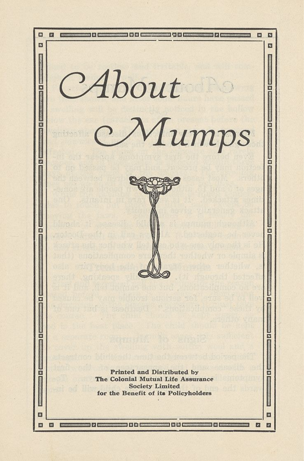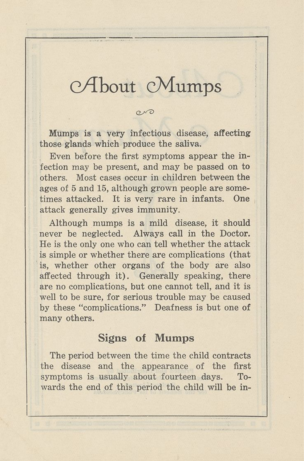## *oAhout* cMumps

 $\sim$ 

Mumps is a very infectious disease, affecting those glands which produce the saliva.

Even before the first symptoms appear the infection may be present, and may be passed on to others. Most cases occur in children between the ages of 5 and 15, although grown people are sometimes attacked. It is very rare in infants. One attack generally gives immunity.

Although mumps is a mild disease, it should never be neglected. Always call in the Doctor. He is the only one who can tell whether the attack is simple or whether there are complications (that is, whether other organs of the body are also affected through it). Generally speaking, there are no complications, but one cannot tell, and it is well to be sure, for serious trouble may be caused by these "complications." Deafness is but one of many others.

## Signs of Mumps

The period between the time the child contracts the disease and the appearance of the first symptoms is usually about fourteen days. Towards the end of this period the child will be in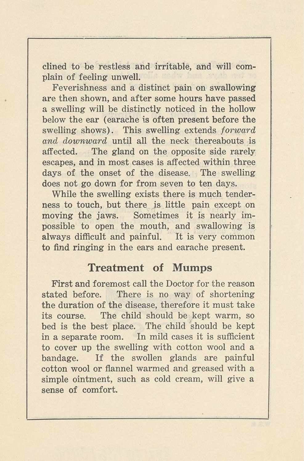clined to be restless and irritable, and will complain of feeling unwell.

Feverishness and a distinct pain on swallowing are then shown, and after some hours have passed a swelling will be distinctly noticed in the hollow below the ear (earache is often present before the swelling shows). This swelling extends *forward and downward* until all the neck thereabouts is affected. The gland on the opposite side rarely escapes, and in most cases is affected within three days of the onset of the disease. The swelling does not go down for from seven to ten days.

While the swelling exists there is much tenderness to touch, but there is little pain except on moving the jaws. Sometimes it is nearly impossible to open the mouth, and swallowing is always difficult and painful. It is very common to find ringing in the ears and earache present.

## Treatment of Mumps

First and foremost call the Doctor for the reason stated before. There is no way of shortening the duration of the disease, therefore it must take its course. The child should be kept warm, so bed is the best place. The child should be kept in a separate room. In mild cases it is sufficient to cover up the swelling with cotton wool and a bandage. If the swollen glands are painful cotton wool or flannel warmed and greased with a simple ointment, such as cold cream, will give a sense of comfort.